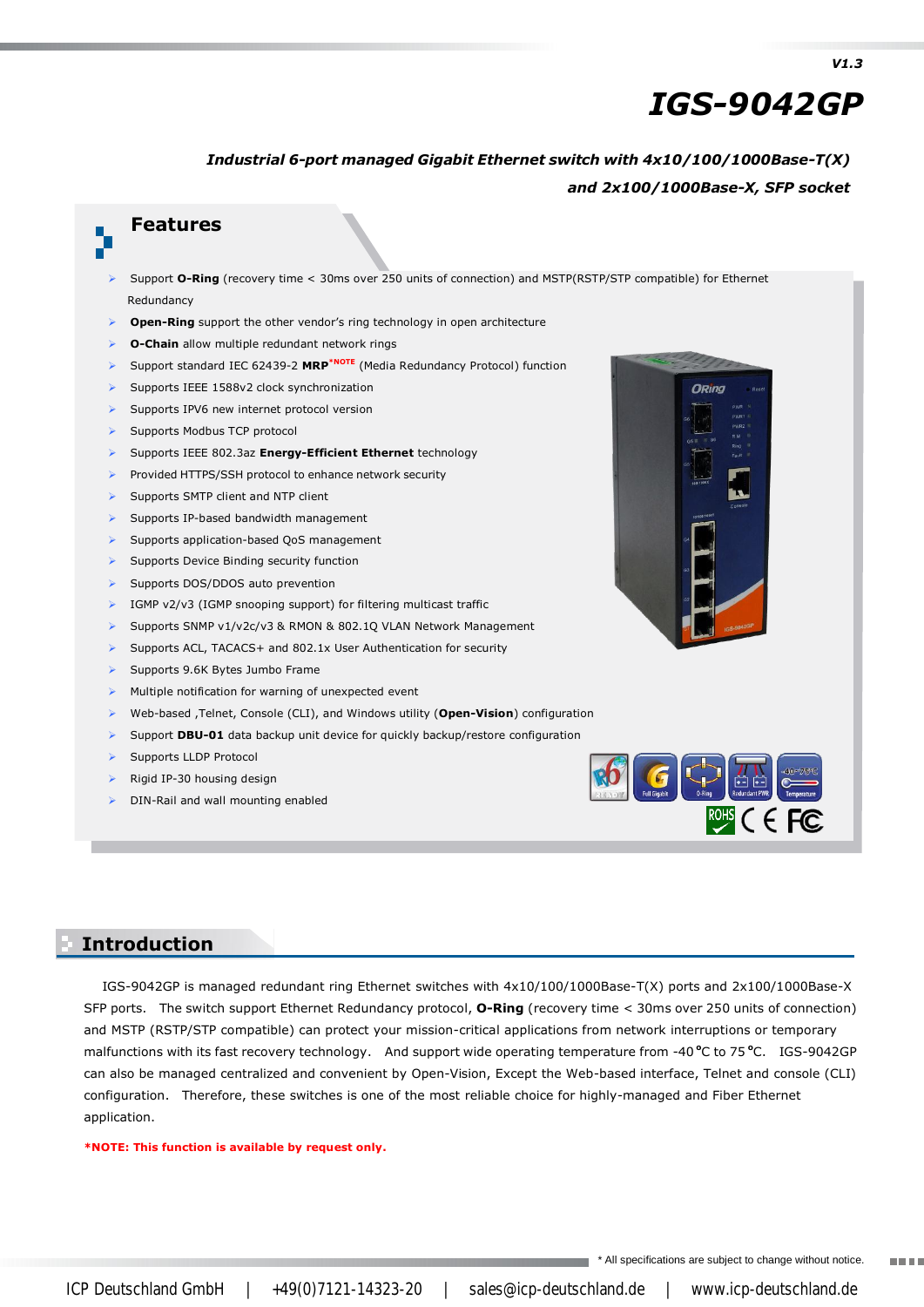# *IGS-9042GP*

#### *Industrial 6-port managed Gigabit Ethernet switch with 4x10/100/1000Base-T(X) and 2x100/1000Base-X, SFP socket*

#### **Features**

- Support **O-Ring** (recovery time < 30ms over 250 units of connection) and MSTP(RSTP/STP compatible) for Ethernet Redundancy
- **Open-Ring** support the other vendor's ring technology in open architecture
- **O-Chain** allow multiple redundant network rings
- Support standard IEC 62439-2 **MRP\*NOTE** (Media Redundancy Protocol) function
- Supports IEEE 1588v2 clock synchronization
- Supports IPV6 new internet protocol version
- Supports Modbus TCP protocol
- Supports IEEE 802.3az **Energy-Efficient Ethernet** technology
- Provided HTTPS/SSH protocol to enhance network security
- Supports SMTP client and NTP client
- Supports IP-based bandwidth management
- Supports application-based QoS management
- Supports Device Binding security function
- Supports DOS/DDOS auto prevention
- IGMP v2/v3 (IGMP snooping support) for filtering multicast traffic
- Supports SNMP v1/v2c/v3 & RMON & 802.1Q VLAN Network Management
- Supports ACL, TACACS+ and 802.1x User Authentication for security
- Supports 9.6K Bytes Jumbo Frame
- Multiple notification for warning of unexpected event
- Web-based ,Telnet, Console (CLI), and Windows utility (**Open-Vision**) configuration
- Support **DBU-01** data backup unit device for quickly backup/restore configuration
- Supports LLDP Protocol
- Rigid IP-30 housing design
- DIN-Rail and wall mounting enabled





#### **Introduction Introduction**

IGS-9042GP is managed redundant ring Ethernet switches with 4x10/100/1000Base-T(X) ports and 2x100/1000Base-X SFP ports. The switch support Ethernet Redundancy protocol, **O-Ring** (recovery time < 30ms over 250 units of connection) and MSTP (RSTP/STP compatible) can protect your mission-critical applications from network interruptions or temporary malfunctions with its fast recovery technology. And support wide operating temperature from -40 °C to 75 °C. IGS-9042GP can also be managed centralized and convenient by Open-Vision, Except the Web-based interface, Telnet and console (CLI) configuration. Therefore, these switches is one of the most reliable choice for highly-managed and Fiber Ethernet application.

#### **\*NOTE: This function is available by request only.**

\* All specifications are subject to change without notice. **TELES**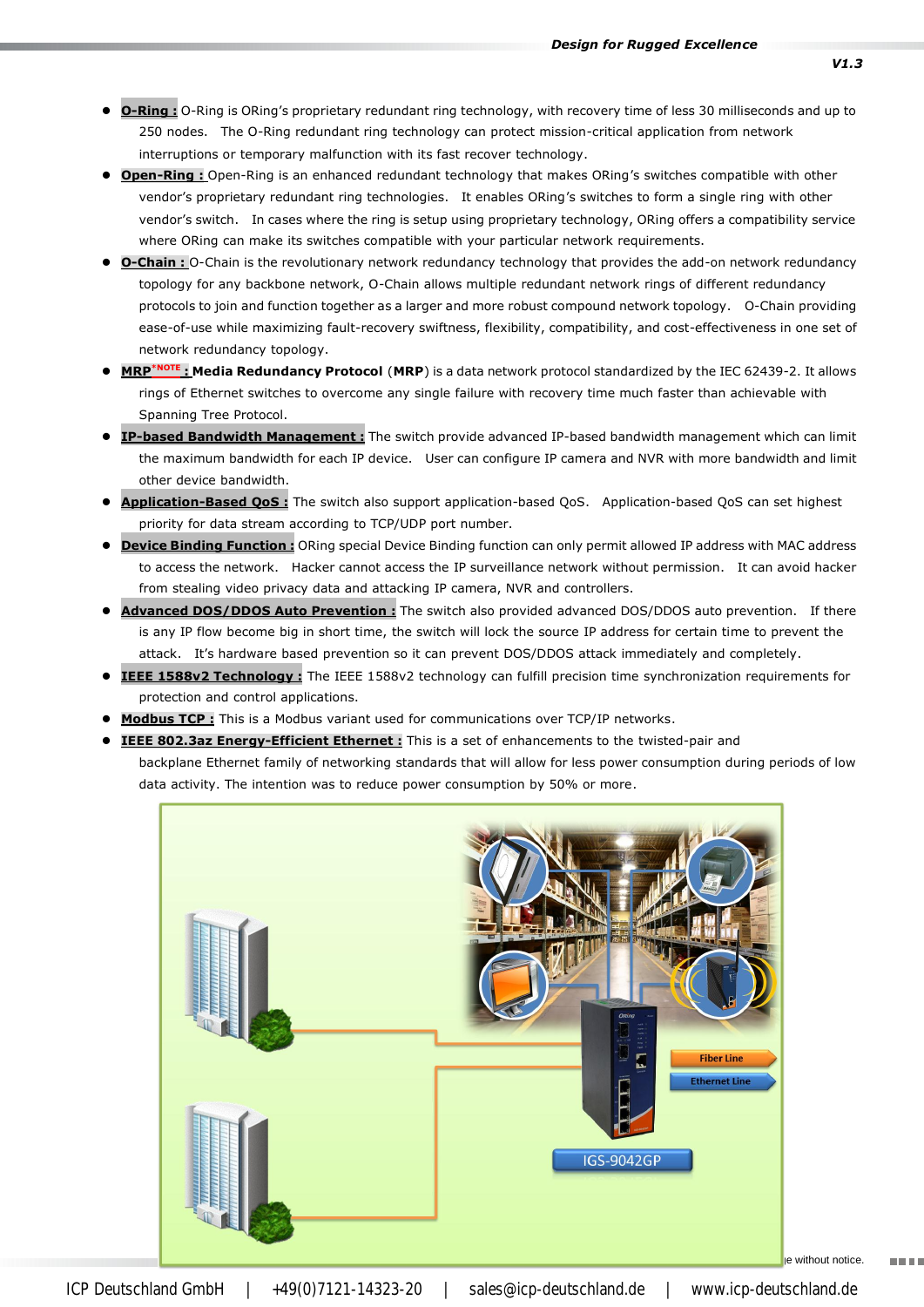- **O-Ring :** O-Ring is ORing's proprietary redundant ring technology, with recovery time of less 30 milliseconds and up to 250 nodes. The O-Ring redundant ring technology can protect mission-critical application from network interruptions or temporary malfunction with its fast recover technology.
- **Open-Ring :** Open-Ring is an enhanced redundant technology that makes ORing's switches compatible with other vendor's proprietary redundant ring technologies. It enables ORing's switches to form a single ring with other vendor's switch. In cases where the ring is setup using proprietary technology, ORing offers a compatibility service where ORing can make its switches compatible with your particular network requirements.
- **O-Chain :** O-Chain is the revolutionary network redundancy technology that provides the add-on network redundancy topology for any backbone network, O-Chain allows multiple redundant network rings of different redundancy protocols to join and function together as a larger and more robust compound network topology. O-Chain providing ease-of-use while maximizing fault-recovery swiftness, flexibility, compatibility, and cost-effectiveness in one set of network redundancy topology.
- **MRP\*NOTE : Media Redundancy Protocol** (**MRP**) is a data network protocol standardized by the IEC 62439-2. It allows rings of Ethernet switches to overcome any single failure with recovery time much faster than achievable with Spanning Tree Protocol.
- **IP-based Bandwidth Management :** The switch provide advanced IP-based bandwidth management which can limit the maximum bandwidth for each IP device. User can configure IP camera and NVR with more bandwidth and limit other device bandwidth.
- **Application-Based QoS :** The switch also support application-based QoS. Application-based QoS can set highest priority for data stream according to TCP/UDP port number.
- **Device Binding Function :** ORing special Device Binding function can only permit allowed IP address with MAC address to access the network. Hacker cannot access the IP surveillance network without permission. It can avoid hacker from stealing video privacy data and attacking IP camera, NVR and controllers.
- **Advanced DOS/DDOS Auto Prevention :** The switch also provided advanced DOS/DDOS auto prevention. If there is any IP flow become big in short time, the switch will lock the source IP address for certain time to prevent the attack. It's hardware based prevention so it can prevent DOS/DDOS attack immediately and completely.
- **IEEE 1588v2 Technology :** The IEEE 1588v2 technology can fulfill precision time synchronization requirements for protection and control applications.
- **Modbus TCP :** This is a Modbus variant used for communications over TCP/IP networks.
- **IEEE 802.3az Energy-Efficient Ethernet :** This is a set of enhancements to the twisted-pair and backplane Ethernet family of networking standards that will allow for less power consumption during periods of low data activity. The intention was to reduce power consumption by 50% or more.

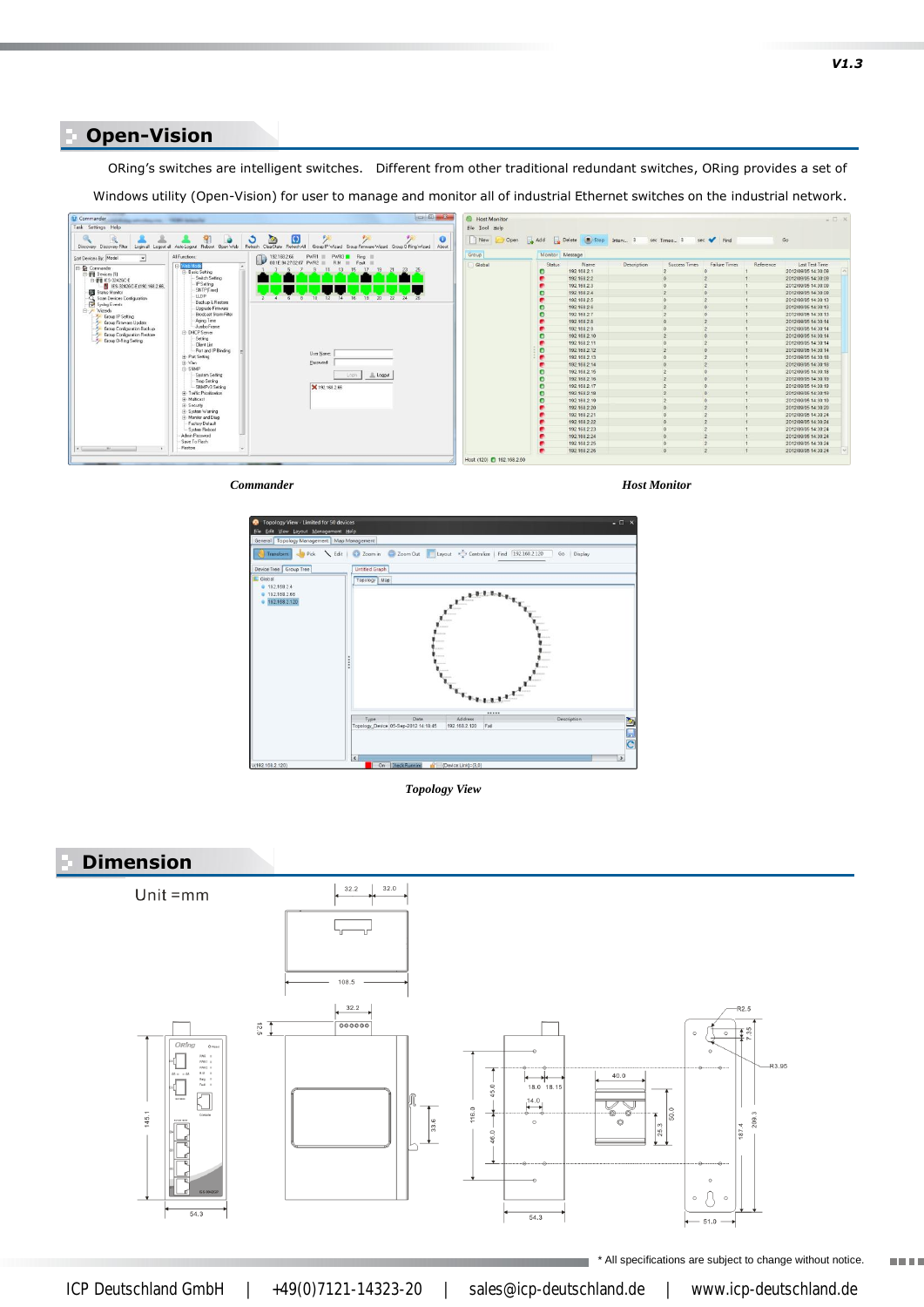#### **Open-Vision**

ORing's switches are intelligent switches. Different from other traditional redundant switches, ORing provides a set of **Specifications** Windows utility (Open-Vision) for user to manage and monitor all of industrial Ethernet switches on the industrial network.



*Commander*

*Host Monitor*



*Topology View*



\* All specifications are subject to change without notice.

man ma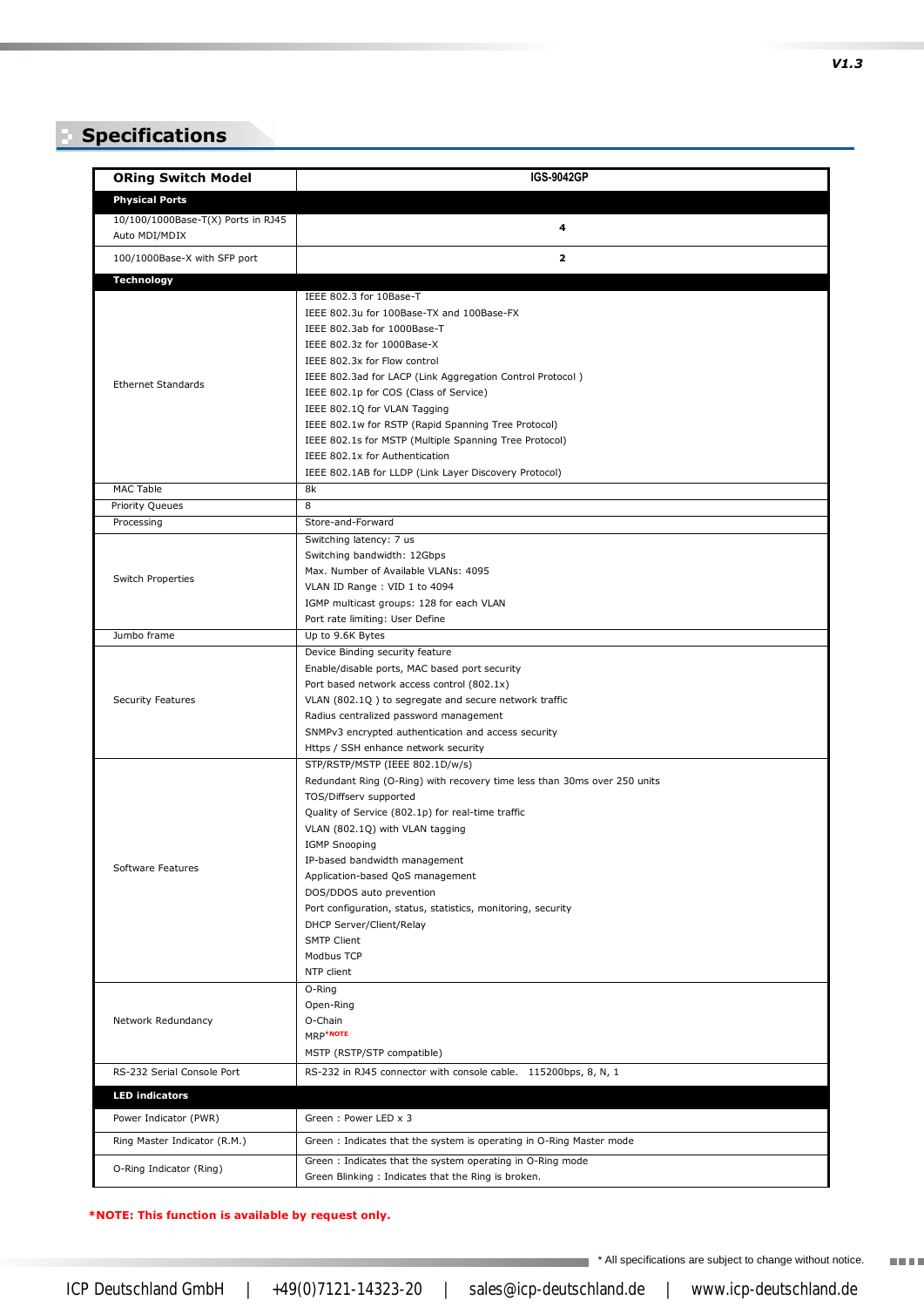## **Specifications**

| <b>ORing Switch Model</b>          | <b>IGS-9042GP</b>                                                                                               |
|------------------------------------|-----------------------------------------------------------------------------------------------------------------|
| <b>Physical Ports</b>              |                                                                                                                 |
| 10/100/1000Base-T(X) Ports in RJ45 |                                                                                                                 |
| Auto MDI/MDIX                      | 4                                                                                                               |
| 100/1000Base-X with SFP port       | $\mathbf{z}$                                                                                                    |
| <b>Technology</b>                  |                                                                                                                 |
| <b>Ethernet Standards</b>          | IEEE 802.3 for 10Base-T                                                                                         |
|                                    | IEEE 802.3u for 100Base-TX and 100Base-FX                                                                       |
|                                    | IEEE 802.3ab for 1000Base-T                                                                                     |
|                                    | IEEE 802.3z for 1000Base-X<br>IEEE 802.3x for Flow control                                                      |
|                                    | IEEE 802.3ad for LACP (Link Aggregation Control Protocol)                                                       |
|                                    | IEEE 802.1p for COS (Class of Service)                                                                          |
|                                    | IEEE 802.1Q for VLAN Tagging                                                                                    |
|                                    | IEEE 802.1w for RSTP (Rapid Spanning Tree Protocol)                                                             |
|                                    | IEEE 802.1s for MSTP (Multiple Spanning Tree Protocol)                                                          |
|                                    | IEEE 802.1x for Authentication                                                                                  |
|                                    | IEEE 802.1AB for LLDP (Link Layer Discovery Protocol)                                                           |
| <b>MAC Table</b>                   | 8k                                                                                                              |
| Priority Queues                    | 8                                                                                                               |
| Processing                         | Store-and-Forward                                                                                               |
|                                    | Switching latency: 7 us                                                                                         |
| Switch Properties                  | Switching bandwidth: 12Gbps<br>Max. Number of Available VLANs: 4095                                             |
|                                    | VLAN ID Range : VID 1 to 4094                                                                                   |
|                                    | IGMP multicast groups: 128 for each VLAN                                                                        |
|                                    | Port rate limiting: User Define                                                                                 |
| Jumbo frame                        | Up to 9.6K Bytes                                                                                                |
| Security Features                  | Device Binding security feature                                                                                 |
|                                    | Enable/disable ports, MAC based port security                                                                   |
|                                    | Port based network access control (802.1x)                                                                      |
|                                    | VLAN (802.1Q) to segregate and secure network traffic                                                           |
|                                    | Radius centralized password management                                                                          |
|                                    | SNMPv3 encrypted authentication and access security<br>Https / SSH enhance network security                     |
|                                    | STP/RSTP/MSTP (IEEE 802.1D/w/s)                                                                                 |
|                                    | Redundant Ring (O-Ring) with recovery time less than 30ms over 250 units                                        |
| Software Features                  | TOS/Diffserv supported                                                                                          |
|                                    | Quality of Service (802.1p) for real-time traffic                                                               |
|                                    | VLAN (802.1Q) with VLAN tagging                                                                                 |
|                                    | <b>IGMP Snooping</b>                                                                                            |
|                                    | IP-based bandwidth management                                                                                   |
|                                    | Application-based QoS management                                                                                |
|                                    | DOS/DDOS auto prevention<br>Port configuration, status, statistics, monitoring, security                        |
|                                    | DHCP Server/Client/Relay                                                                                        |
|                                    | <b>SMTP Client</b>                                                                                              |
|                                    | Modbus TCP                                                                                                      |
|                                    | NTP client                                                                                                      |
| Network Redundancy                 | O-Ring                                                                                                          |
|                                    | Open-Ring                                                                                                       |
|                                    | O-Chain                                                                                                         |
|                                    | MRP*NOTE                                                                                                        |
|                                    | MSTP (RSTP/STP compatible)                                                                                      |
| RS-232 Serial Console Port         | RS-232 in RJ45 connector with console cable. 115200bps, 8, N, 1                                                 |
| <b>LED indicators</b>              |                                                                                                                 |
| Power Indicator (PWR)              | Green: Power LED x 3                                                                                            |
| Ring Master Indicator (R.M.)       | Green: Indicates that the system is operating in O-Ring Master mode                                             |
| O-Ring Indicator (Ring)            | Green: Indicates that the system operating in O-Ring mode<br>Green Blinking: Indicates that the Ring is broken. |

**\*NOTE: This function is available by request only.**

*V1.3*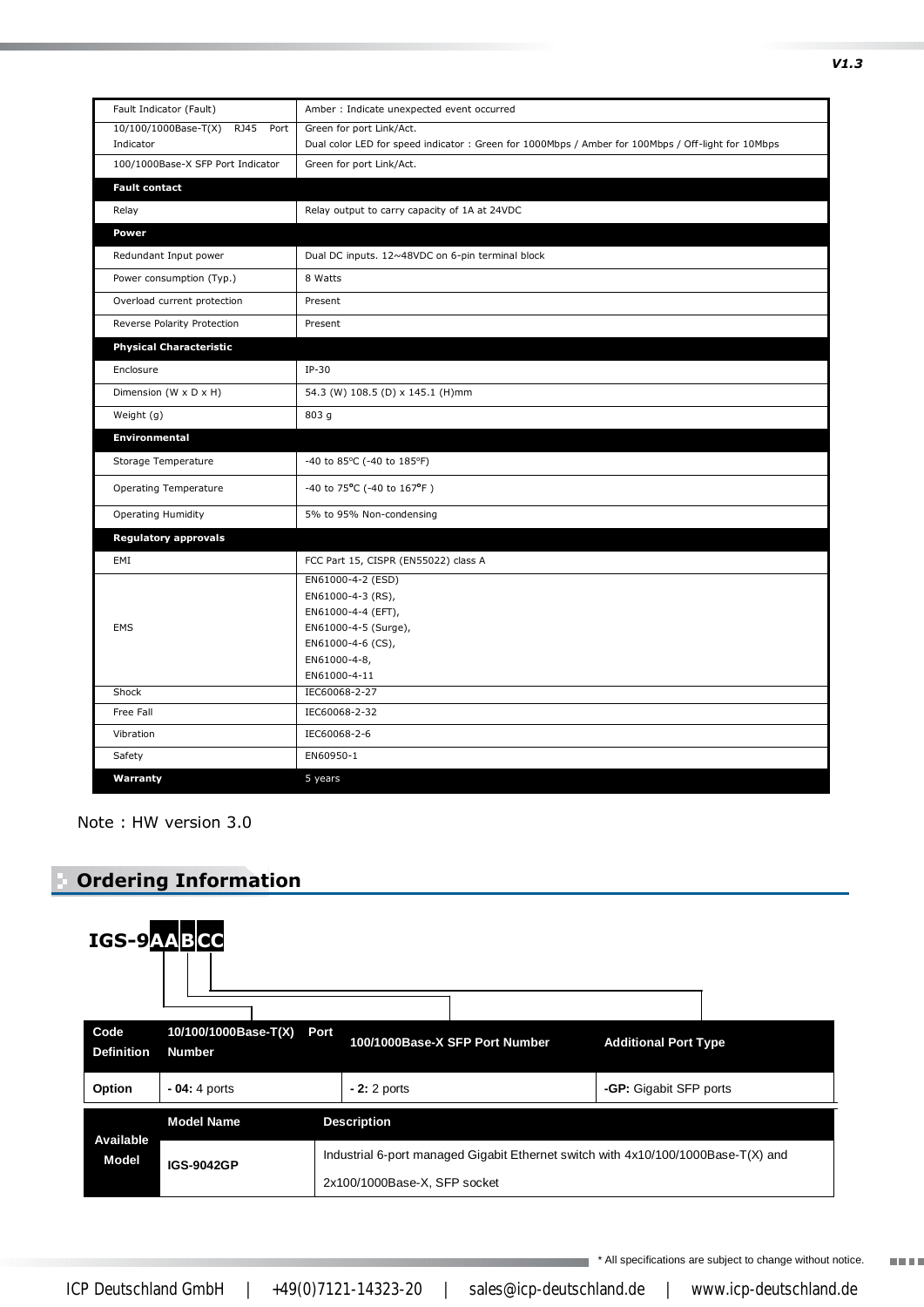| Fault Indicator (Fault)                     | Amber : Indicate unexpected event occurred                                                                                                |
|---------------------------------------------|-------------------------------------------------------------------------------------------------------------------------------------------|
| 10/100/1000Base-T(X) RJ45 Port<br>Indicator | Green for port Link/Act.<br>Dual color LED for speed indicator: Green for 1000Mbps / Amber for 100Mbps / Off-light for 10Mbps             |
| 100/1000Base-X SFP Port Indicator           | Green for port Link/Act.                                                                                                                  |
| <b>Fault contact</b>                        |                                                                                                                                           |
| Relay                                       | Relay output to carry capacity of 1A at 24VDC                                                                                             |
| Power                                       |                                                                                                                                           |
| Redundant Input power                       | Dual DC inputs. 12~48VDC on 6-pin terminal block                                                                                          |
| Power consumption (Typ.)                    | 8 Watts                                                                                                                                   |
| Overload current protection                 | Present                                                                                                                                   |
| Reverse Polarity Protection                 | Present                                                                                                                                   |
| <b>Physical Characteristic</b>              |                                                                                                                                           |
| Enclosure                                   | $IP-30$                                                                                                                                   |
| Dimension (W x D x H)                       | 54.3 (W) 108.5 (D) x 145.1 (H)mm                                                                                                          |
| Weight (g)                                  | 803 g                                                                                                                                     |
| Environmental                               |                                                                                                                                           |
| Storage Temperature                         | -40 to 85 $\degree$ C (-40 to 185 $\degree$ F)                                                                                            |
| Operating Temperature                       | -40 to 75°C (-40 to 167°F)                                                                                                                |
| <b>Operating Humidity</b>                   | 5% to 95% Non-condensing                                                                                                                  |
| <b>Regulatory approvals</b>                 |                                                                                                                                           |
| EMI                                         | FCC Part 15, CISPR (EN55022) class A                                                                                                      |
| <b>EMS</b>                                  | EN61000-4-2 (ESD)<br>EN61000-4-3 (RS),<br>EN61000-4-4 (EFT),<br>EN61000-4-5 (Surge),<br>EN61000-4-6 (CS),<br>EN61000-4-8,<br>EN61000-4-11 |
| Shock                                       | IEC60068-2-27                                                                                                                             |
| Free Fall                                   | IEC60068-2-32                                                                                                                             |
| Vibration                                   | IEC60068-2-6                                                                                                                              |
| Safety                                      | EN60950-1                                                                                                                                 |
| Warranty                                    | 5 years                                                                                                                                   |

Note : HW version 3.0

#### **Ordering Information**



\* All specifications are subject to change without notice.

**TELL**